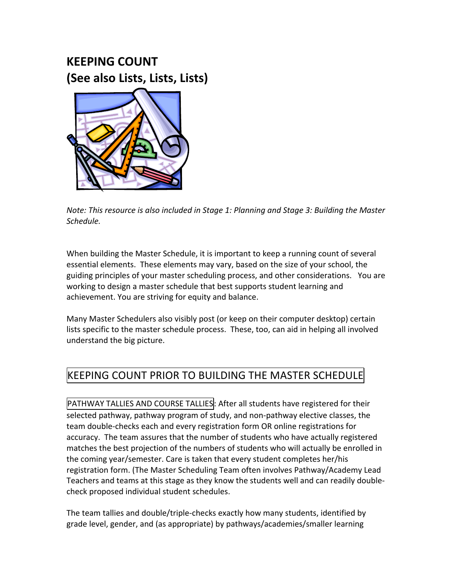# **KEEPING'COUNT' (See'also'Lists,'Lists,'Lists)**



*Note: This resource is also included in Stage 1: Planning and Stage 3: Building the Master Schedule.&*

When building the Master Schedule, it is important to keep a running count of several essential elements. These elements may vary, based on the size of your school, the guiding principles of your master scheduling process, and other considerations. You are working to design a master schedule that best supports student learning and achievement. You are striving for equity and balance.

Many Master Schedulers also visibly post (or keep on their computer desktop) certain lists specific to the master schedule process. These, too, can aid in helping all involved understand the big picture.

## KEEPING COUNT PRIOR TO BUILDING THE MASTER SCHEDULE

PATHWAY TALLIES AND COURSE TALLIES: After all students have registered for their selected pathway, pathway program of study, and non-pathway elective classes, the team double-checks each and every registration form OR online registrations for accuracy. The team assures that the number of students who have actually registered matches the best projection of the numbers of students who will actually be enrolled in the coming year/semester. Care is taken that every student completes her/his registration form. (The Master Scheduling Team often involves Pathway/Academy Lead Teachers and teams at this stage as they know the students well and can readily doublecheck proposed individual student schedules.

The team tallies and double/triple-checks exactly how many students, identified by grade level, gender, and (as appropriate) by pathways/academies/smaller learning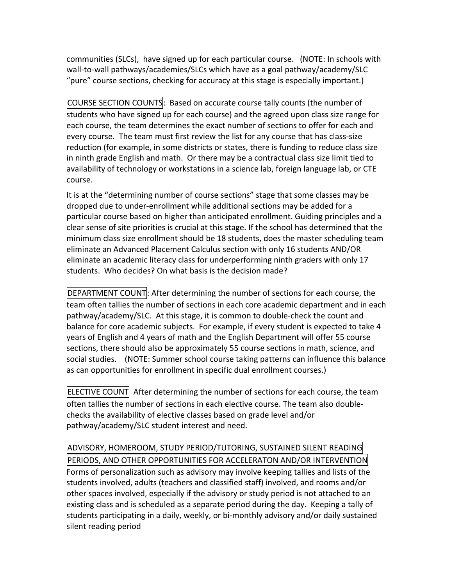communities (SLCs), have signed up for each particular course. (NOTE: In schools with wall-to-wall pathways/academies/SLCs which have as a goal pathway/academy/SLC "pure" course sections, checking for accuracy at this stage is especially important.)

COURSE SECTION COUNTS: Based on accurate course tally counts (the number of students who have signed up for each course) and the agreed upon class size range for each course, the team determines the exact number of sections to offer for each and every course. The team must first review the list for any course that has class-size reduction (for example, in some districts or states, there is funding to reduce class size in ninth grade English and math. Or there may be a contractual class size limit tied to availability of technology or workstations in a science lab, foreign language lab, or CTE course.

It is at the "determining number of course sections" stage that some classes may be dropped due to under-enrollment while additional sections may be added for a particular course based on higher than anticipated enrollment. Guiding principles and a clear sense of site priorities is crucial at this stage. If the school has determined that the minimum class size enrollment should be 18 students, does the master scheduling team eliminate an Advanced Placement Calculus section with only 16 students AND/OR eliminate an academic literacy class for underperforming ninth graders with only 17 students. Who decides? On what basis is the decision made?

DEPARTMENT COUNT: After determining the number of sections for each course, the team often tallies the number of sections in each core academic department and in each pathway/academy/SLC. At this stage, it is common to double-check the count and balance for core academic subjects. For example, if every student is expected to take 4 years of English and 4 years of math and the English Department will offer 55 course sections, there should also be approximately 55 course sections in math, science, and social studies. (NOTE: Summer school course taking patterns can influence this balance as can opportunities for enrollment in specific dual enrollment courses.)

ELECTIVE COUNT After determining the number of sections for each course, the team often tallies the number of sections in each elective course. The team also doublechecks the availability of elective classes based on grade level and/or pathway/academy/SLC student interest and need.

### ADVISORY, HOMEROOM, STUDY PERIOD/TUTORING, SUSTAINED SILENT READING!!

PERIODS, AND OTHER OPPORTUNITIES FOR ACCELERATON AND/OR INTERVENTION Forms of personalization such as advisory may involve keeping tallies and lists of the students involved, adults (teachers and classified staff) involved, and rooms and/or other spaces involved, especially if the advisory or study period is not attached to an existing class and is scheduled as a separate period during the day. Keeping a tally of students participating in a daily, weekly, or bi-monthly advisory and/or daily sustained silent reading period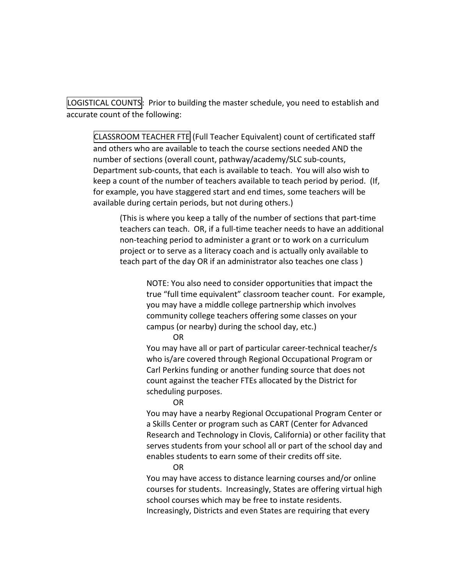LOGISTICAL COUNTS: Prior to building the master schedule, you need to establish and accurate count of the following:

CLASSROOM TEACHER FTE (Full Teacher Equivalent) count of certificated staff and others who are available to teach the course sections needed AND the number of sections (overall count, pathway/academy/SLC sub-counts, Department sub-counts, that each is available to teach. You will also wish to keep a count of the number of teachers available to teach period by period. (If, for example, you have staggered start and end times, some teachers will be available during certain periods, but not during others.)

(This is where you keep a tally of the number of sections that part-time teachers can teach. OR, if a full-time teacher needs to have an additional non-teaching period to administer a grant or to work on a curriculum project or to serve as a literacy coach and is actually only available to teach part of the day OR if an administrator also teaches one class )

NOTE: You also need to consider opportunities that impact the true "full time equivalent" classroom teacher count. For example, you may have a middle college partnership which involves community college teachers offering some classes on your campus (or nearby) during the school day, etc.)

OR!

You may have all or part of particular career-technical teacher/s who is/are covered through Regional Occupational Program or Carl Perkins funding or another funding source that does not count against the teacher FTEs allocated by the District for scheduling purposes.

OR

You may have a nearby Regional Occupational Program Center or a Skills Center or program such as CART (Center for Advanced Research and Technology in Clovis, California) or other facility that serves students from your school all or part of the school day and enables students to earn some of their credits off site.

OR!

You may have access to distance learning courses and/or online courses for students. Increasingly, States are offering virtual high school courses which may be free to instate residents. Increasingly, Districts and even States are requiring that every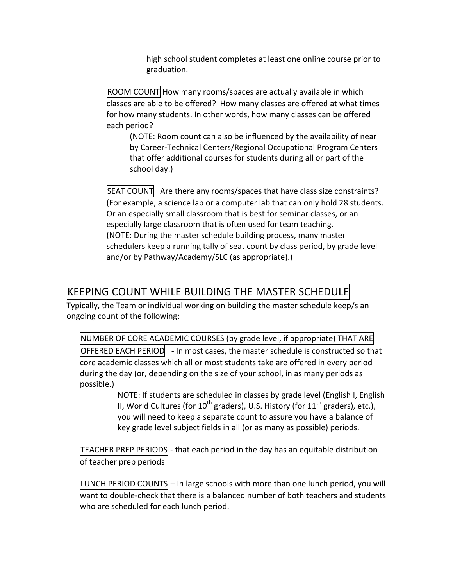high school student completes at least one online course prior to graduation.

 $|$ ROOM COUNT How many rooms/spaces are actually available in which classes are able to be offered? How many classes are offered at what times for how many students. In other words, how many classes can be offered each period?

(NOTE: Room count can also be influenced by the availability of near by Career-Technical Centers/Regional Occupational Program Centers that offer additional courses for students during all or part of the school day.)

 $\overline{\text{SEAT COUNT}}$  Are there any rooms/spaces that have class size constraints? (For example, a science lab or a computer lab that can only hold 28 students. Or an especially small classroom that is best for seminar classes, or an especially large classroom that is often used for team teaching. (NOTE: During the master schedule building process, many master schedulers keep a running tally of seat count by class period, by grade level and/or by Pathway/Academy/SLC (as appropriate).)

#### KEEPING COUNT WHILE BUILDING THE MASTER SCHEDULE

Typically, the Team or individual working on building the master schedule keep/s an ongoing count of the following:

NUMBER OF CORE ACADEMIC COURSES (by grade level, if appropriate) THAT ARE  $\overline{O}$ FFERED EACH PERIOD  $\overline{O}$  - In most cases, the master schedule is constructed so that core academic classes which all or most students take are offered in every period during the day (or, depending on the size of your school, in as many periods as possible.)

> NOTE: If students are scheduled in classes by grade level (English I, English) II, World Cultures (for  $10^{th}$  graders), U.S. History (for  $11^{th}$  graders), etc.), you will need to keep a separate count to assure you have a balance of key grade level subject fields in all (or as many as possible) periods.

TEACHER PREP PERIODS - that each period in the day has an equitable distribution of teacher prep periods

LUNCH PERIOD COUNTS – In large schools with more than one lunch period, you will want to double-check that there is a balanced number of both teachers and students who are scheduled for each lunch period.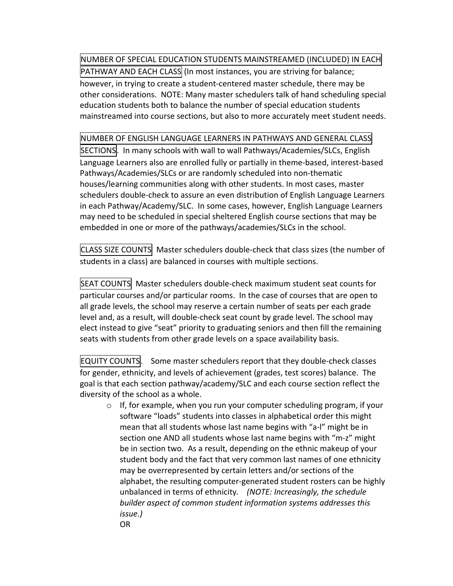NUMBER OF SPECIAL EDUCATION STUDENTS MAINSTREAMED (INCLUDED) IN EACH

PATHWAY AND EACH CLASS (In most instances, you are striving for balance; however, in trying to create a student-centered master schedule, there may be other considerations. NOTE: Many master schedulers talk of hand scheduling special education students both to balance the number of special education students mainstreamed into course sections, but also to more accurately meet student needs.

#### NUMBER OF ENGLISH LANGUAGE LEARNERS IN PATHWAYS AND GENERAL CLASS

SECTIONS. In many schools with wall to wall Pathways/Academies/SLCs, English Language Learners also are enrolled fully or partially in theme-based, interest-based Pathways/Academies/SLCs or are randomly scheduled into non-thematic houses/learning communities along with other students. In most cases, master schedulers double-check to assure an even distribution of English Language Learners in each Pathway/Academy/SLC. In some cases, however, English Language Learners may need to be scheduled in special sheltered English course sections that may be embedded in one or more of the pathways/academies/SLCs in the school.

CLASS SIZE COUNTS Master schedulers double-check that class sizes (the number of students in a class) are balanced in courses with multiple sections.

SEAT COUNTS Master schedulers double-check maximum student seat counts for particular courses and/or particular rooms. In the case of courses that are open to all grade levels, the school may reserve a certain number of seats per each grade level and, as a result, will double-check seat count by grade level. The school may elect instead to give "seat" priority to graduating seniors and then fill the remaining seats with students from other grade levels on a space availability basis.

**EQUITY COUNTS.** Some master schedulers report that they double-check classes for gender, ethnicity, and levels of achievement (grades, test scores) balance. The goal is that each section pathway/academy/SLC and each course section reflect the diversity of the school as a whole.

 $\circ$  If, for example, when you run your computer scheduling program, if your software "loads" students into classes in alphabetical order this might mean that all students whose last name begins with "a-l" might be in section one AND all students whose last name begins with "m-z" might be in section two. As a result, depending on the ethnic makeup of your student body and the fact that very common last names of one ethnicity may be overrepresented by certain letters and/or sections of the alphabet, the resulting computer-generated student rosters can be highly unbalanced in terms of ethnicity. (NOTE: Increasingly, the schedule builder aspect of common student information systems addresses this *issue.)* OR